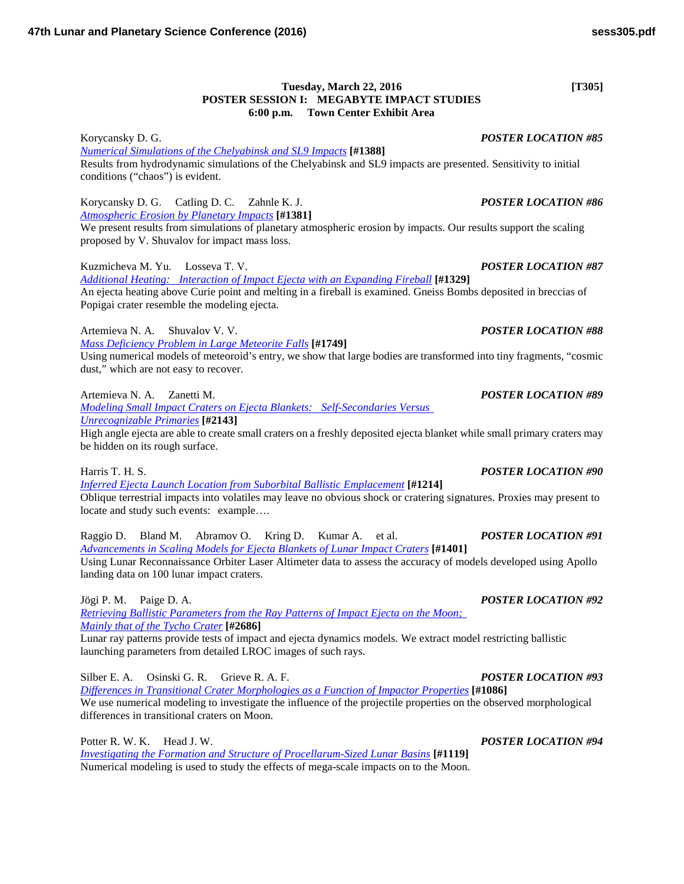## **Tuesday, March 22, 2016 [T305] POSTER SESSION I: MEGABYTE IMPACT STUDIES 6:00 p.m. Town Center Exhibit Area**

Korycansky D. G. *POSTER LOCATION #85 [Numerical Simulations of the Chelyabinsk and SL9](http://www.hou.usra.edu/meetings/lpsc2016/pdf/1388.pdf) Impacts* **[#1388]** Results from hydrodynamic simulations of the Chelyabinsk and SL9 impacts are presented. Sensitivity to initial conditions ("chaos") is evident.

## Korycansky D. G. Catling D. C. Zahnle K. J. *POSTER LOCATION #86 [Atmospheric Erosion by Planetary](http://www.hou.usra.edu/meetings/lpsc2016/pdf/1381.pdf) Impacts* **[#1381]**

We present results from simulations of planetary atmospheric erosion by impacts. Our results support the scaling proposed by V. Shuvalov for impact mass loss.

Kuzmicheva M. Yu. Losseva T. V. *POSTER LOCATION #87*

*[Additional Heating: Interaction of Impact Ejecta with an Expanding](http://www.hou.usra.edu/meetings/lpsc2016/pdf/1329.pdf) Fireball* **[#1329]** An ejecta heating above Curie point and melting in a fireball is examined. Gneiss Bombs deposited in breccias of Popigai crater resemble the modeling ejecta.

Artemieva N. A. Shuvalov V. V. *POSTER LOCATION #88*

*[Mass Deficiency Problem in Large Meteorite](http://www.hou.usra.edu/meetings/lpsc2016/pdf/1749.pdf) Falls* **[#1749]**

Using numerical models of meteoroid's entry, we show that large bodies are transformed into tiny fragments, "cosmic dust," which are not easy to recover.

Artemieva N. A. Zanetti M. *POSTER LOCATION #89*

*[Modeling Small Impact Craters on Ejecta Blankets: Self-Secondaries Versus](http://www.hou.usra.edu/meetings/lpsc2016/pdf/2143.pdf)  [Unrecognizable](http://www.hou.usra.edu/meetings/lpsc2016/pdf/2143.pdf) Primaries* **[#2143]**

High angle ejecta are able to create small craters on a freshly deposited ejecta blanket while small primary craters may be hidden on its rough surface.

*[Inferred Ejecta Launch Location from Suborbital Ballistic](http://www.hou.usra.edu/meetings/lpsc2016/pdf/1214.pdf) Emplacement* **[#1214]** Oblique terrestrial impacts into volatiles may leave no obvious shock or cratering signatures. Proxies may present to locate and study such events: example….

Raggio D. Bland M. Abramov O. Kring D. Kumar A. et al. *POSTER LOCATION #91 [Advancements in Scaling Models for Ejecta Blankets of Lunar Impact](http://www.hou.usra.edu/meetings/lpsc2016/pdf/1401.pdf) Craters* **[#1401]** Using Lunar Reconnaissance Orbiter Laser Altimeter data to assess the accuracy of models developed using Apollo landing data on 100 lunar impact craters.

Jögi P. M. Paige D. A. *POSTER LOCATION #92*

*[Retrieving Ballistic Parameters from the Ray Patterns of Impact Ejecta on the Moon;](http://www.hou.usra.edu/meetings/lpsc2016/pdf/2686.pdf)  [Mainly that of the Tycho](http://www.hou.usra.edu/meetings/lpsc2016/pdf/2686.pdf) Crater* **[#2686]** Lunar ray patterns provide tests of impact and ejecta dynamics models. We extract model restricting ballistic

launching parameters from detailed LROC images of such rays.

Silber E. A. Osinski G. R. Grieve R. A. F. *POSTER LOCATION #93 [Differences in Transitional Crater Morphologies as a Function of Impactor](http://www.hou.usra.edu/meetings/lpsc2016/pdf/1086.pdf) Properties* **[#1086]** We use numerical modeling to investigate the influence of the projectile properties on the observed morphological differences in transitional craters on Moon.

Potter R. W. K. Head J. W. *POSTER LOCATION #94 [Investigating the Formation and Structure of Procellarum-Sized Lunar](http://www.hou.usra.edu/meetings/lpsc2016/pdf/1119.pdf) Basins* **[#1119]** Numerical modeling is used to study the effects of mega-scale impacts on to the Moon.

# Harris T. H. S. *POSTER LOCATION #90*